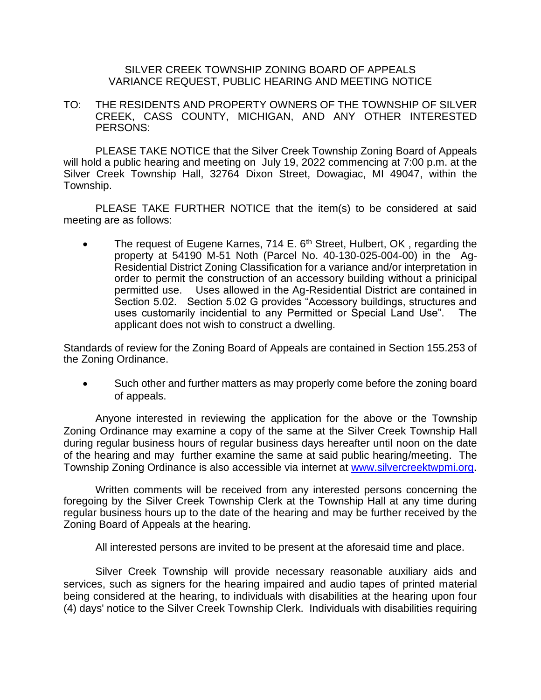## SILVER CREEK TOWNSHIP ZONING BOARD OF APPEALS VARIANCE REQUEST, PUBLIC HEARING AND MEETING NOTICE

TO: THE RESIDENTS AND PROPERTY OWNERS OF THE TOWNSHIP OF SILVER CREEK, CASS COUNTY, MICHIGAN, AND ANY OTHER INTERESTED PERSONS:

PLEASE TAKE NOTICE that the Silver Creek Township Zoning Board of Appeals will hold a public hearing and meeting on July 19, 2022 commencing at 7:00 p.m. at the Silver Creek Township Hall, 32764 Dixon Street, Dowagiac, MI 49047, within the Township.

PLEASE TAKE FURTHER NOTICE that the item(s) to be considered at said meeting are as follows:

• The request of Eugene Karnes, 714 E.  $6<sup>th</sup>$  Street, Hulbert, OK, regarding the property at 54190 M-51 Noth (Parcel No. 40-130-025-004-00) in the Ag-Residential District Zoning Classification for a variance and/or interpretation in order to permit the construction of an accessory building without a prinicipal permitted use. Uses allowed in the Ag-Residential District are contained in Section 5.02. Section 5.02 G provides "Accessory buildings, structures and uses customarily incidential to any Permitted or Special Land Use". The applicant does not wish to construct a dwelling.

Standards of review for the Zoning Board of Appeals are contained in Section 155.253 of the Zoning Ordinance.

• Such other and further matters as may properly come before the zoning board of appeals.

Anyone interested in reviewing the application for the above or the Township Zoning Ordinance may examine a copy of the same at the Silver Creek Township Hall during regular business hours of regular business days hereafter until noon on the date of the hearing and may further examine the same at said public hearing/meeting. The Township Zoning Ordinance is also accessible via internet at [www.silvercreektwpmi.org.](http://www.silvercreektwpmi.org/)

Written comments will be received from any interested persons concerning the foregoing by the Silver Creek Township Clerk at the Township Hall at any time during regular business hours up to the date of the hearing and may be further received by the Zoning Board of Appeals at the hearing.

All interested persons are invited to be present at the aforesaid time and place.

Silver Creek Township will provide necessary reasonable auxiliary aids and services, such as signers for the hearing impaired and audio tapes of printed material being considered at the hearing, to individuals with disabilities at the hearing upon four (4) days' notice to the Silver Creek Township Clerk. Individuals with disabilities requiring